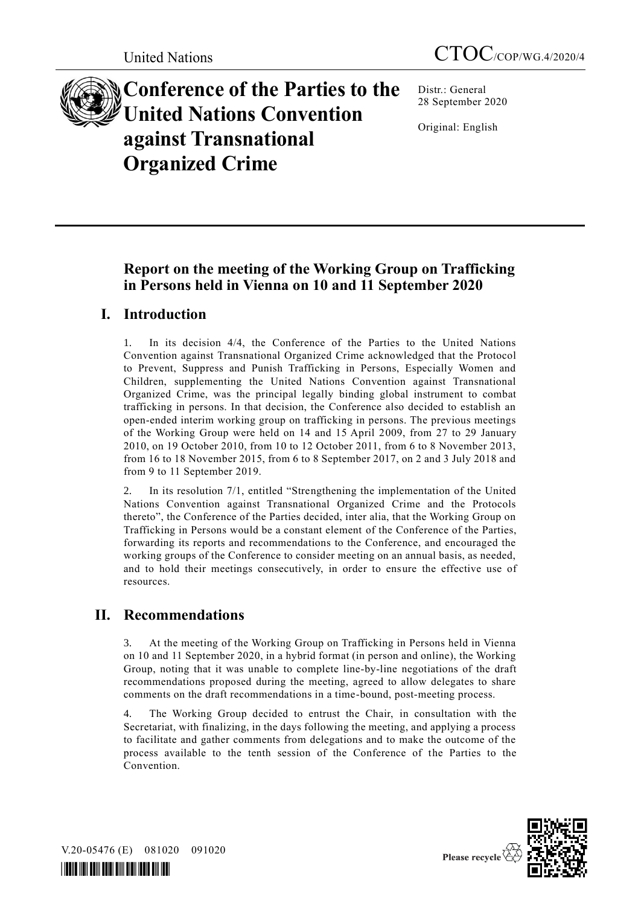

**Conference of the Parties to the United Nations Convention against Transnational Organized Crime**

Distr.: General 28 September 2020

Original: English

# **Report on the meeting of the Working Group on Trafficking in Persons held in Vienna on 10 and 11 September 2020**

## **I. Introduction**

1. In its decision 4/4, the Conference of the Parties to the United Nations Convention against Transnational Organized Crime acknowledged that the Protocol to Prevent, Suppress and Punish Trafficking in Persons, Especially Women and Children, supplementing the United Nations Convention against Transnational Organized Crime, was the principal legally binding global instrument to combat trafficking in persons. In that decision, the Conference also decided to establish an open-ended interim working group on trafficking in persons. The previous meetings of the Working Group were held on 14 and 15 April 2009, from 27 to 29 January 2010, on 19 October 2010, from 10 to 12 October 2011, from 6 to 8 November 2013, from 16 to 18 November 2015, from 6 to 8 September 2017, on 2 and 3 July 2018 and from 9 to 11 September 2019.

2. In its resolution 7/1, entitled "Strengthening the implementation of the United Nations Convention against Transnational Organized Crime and the Protocols thereto", the Conference of the Parties decided, inter alia, that the Working Group on Trafficking in Persons would be a constant element of the Conference of the Parties, forwarding its reports and recommendations to the Conference, and encouraged the working groups of the Conference to consider meeting on an annual basis, as needed, and to hold their meetings consecutively, in order to ensure the effective use of resources.

# **II. Recommendations**

3. At the meeting of the Working Group on Trafficking in Persons held in Vienna on 10 and 11 September 2020, in a hybrid format (in person and online), the Working Group, noting that it was unable to complete line-by-line negotiations of the draft recommendations proposed during the meeting, agreed to allow delegates to share comments on the draft recommendations in a time-bound, post-meeting process.

4. The Working Group decided to entrust the Chair, in consultation with the Secretariat, with finalizing, in the days following the meeting, and applying a process to facilitate and gather comments from delegations and to make the outcome of the process available to the tenth session of the Conference of the Parties to the Convention.

V.20-05476 (E) 081020 091020

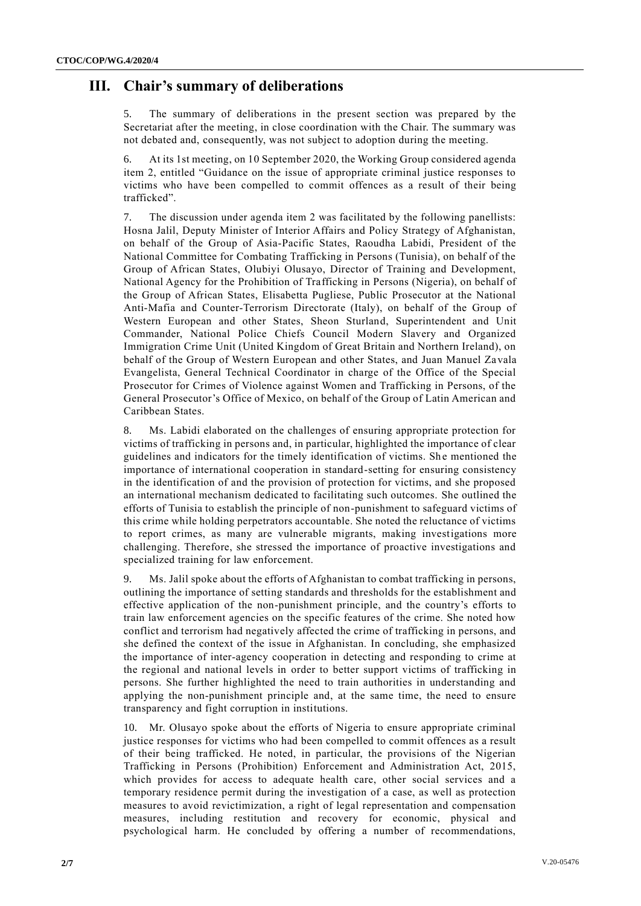## **III. Chair's summary of deliberations**

The summary of deliberations in the present section was prepared by the Secretariat after the meeting, in close coordination with the Chair. The summary was not debated and, consequently, was not subject to adoption during the meeting.

6. At its 1st meeting, on 10 September 2020, the Working Group considered agenda item 2, entitled "Guidance on the issue of appropriate criminal justice responses to victims who have been compelled to commit offences as a result of their being trafficked".

7. The discussion under agenda item 2 was facilitated by the following panellists: Hosna Jalil, Deputy Minister of Interior Affairs and Policy Strategy of Afghanistan, on behalf of the Group of Asia-Pacific States, Raoudha Labidi, President of the National Committee for Combating Trafficking in Persons (Tunisia), on behalf of the Group of African States, Olubiyi Olusayo, Director of Training and Development, National Agency for the Prohibition of Trafficking in Persons (Nigeria), on behalf of the Group of African States, Elisabetta Pugliese, Public Prosecutor at the National Anti-Mafia and Counter-Terrorism Directorate (Italy), on behalf of the Group of Western European and other States, Sheon Sturland, Superintendent and Unit Commander, National Police Chiefs Council Modern Slavery and Organized Immigration Crime Unit (United Kingdom of Great Britain and Northern Ireland), on behalf of the Group of Western European and other States, and Juan Manuel Zavala Evangelista, General Technical Coordinator in charge of the Office of the Special Prosecutor for Crimes of Violence against Women and Trafficking in Persons, of the General Prosecutor's Office of Mexico, on behalf of the Group of Latin American and Caribbean States.

8. Ms. Labidi elaborated on the challenges of ensuring appropriate protection for victims of trafficking in persons and, in particular, highlighted the importance of clear guidelines and indicators for the timely identification of victims. She mentioned the importance of international cooperation in standard-setting for ensuring consistency in the identification of and the provision of protection for victims, and she proposed an international mechanism dedicated to facilitating such outcomes. She outlined the efforts of Tunisia to establish the principle of non-punishment to safeguard victims of this crime while holding perpetrators accountable. She noted the reluctance of victims to report crimes, as many are vulnerable migrants, making investigations more challenging. Therefore, she stressed the importance of proactive investigations and specialized training for law enforcement.

9. Ms. Jalil spoke about the efforts of Afghanistan to combat trafficking in persons, outlining the importance of setting standards and thresholds for the establishment and effective application of the non-punishment principle, and the country's efforts to train law enforcement agencies on the specific features of the crime. She noted how conflict and terrorism had negatively affected the crime of trafficking in persons, and she defined the context of the issue in Afghanistan. In concluding, she emphasized the importance of inter-agency cooperation in detecting and responding to crime at the regional and national levels in order to better support victims of trafficking in persons. She further highlighted the need to train authorities in understanding and applying the non-punishment principle and, at the same time, the need to ensure transparency and fight corruption in institutions.

10. Mr. Olusayo spoke about the efforts of Nigeria to ensure appropriate criminal justice responses for victims who had been compelled to commit offences as a result of their being trafficked. He noted, in particular, the provisions of the Nigerian Trafficking in Persons (Prohibition) Enforcement and Administration Act, 2015, which provides for access to adequate health care, other social services and a temporary residence permit during the investigation of a case, as well as protection measures to avoid revictimization, a right of legal representation and compensation measures, including restitution and recovery for economic, physical and psychological harm. He concluded by offering a number of recommendations,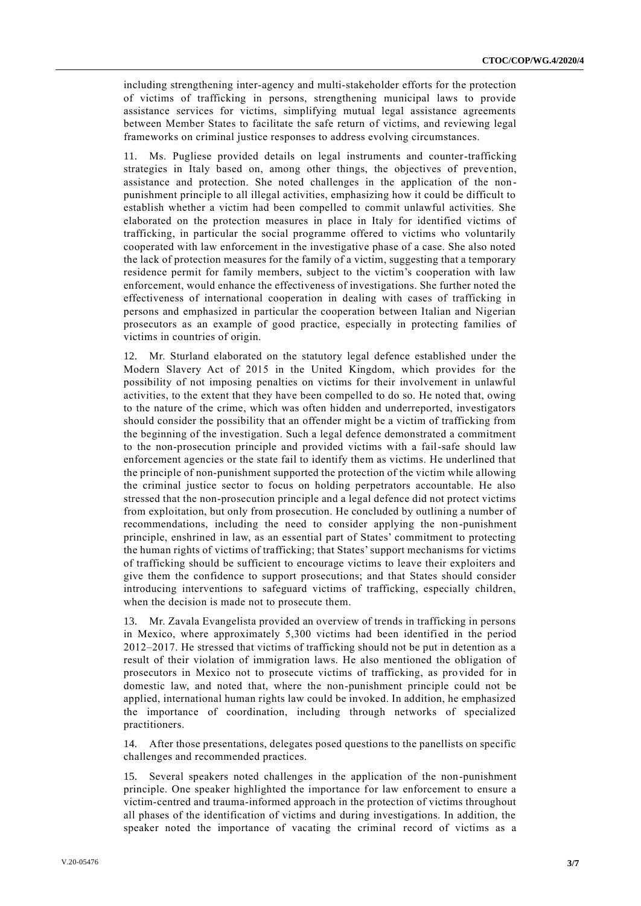including strengthening inter-agency and multi-stakeholder efforts for the protection of victims of trafficking in persons, strengthening municipal laws to provide assistance services for victims, simplifying mutual legal assistance agreements between Member States to facilitate the safe return of victims, and reviewing legal frameworks on criminal justice responses to address evolving circumstances.

11. Ms. Pugliese provided details on legal instruments and counter-trafficking strategies in Italy based on, among other things, the objectives of preve ntion, assistance and protection. She noted challenges in the application of the non punishment principle to all illegal activities, emphasizing how it could be difficult to establish whether a victim had been compelled to commit unlawful activities. She elaborated on the protection measures in place in Italy for identified victims of trafficking, in particular the social programme offered to victims who voluntarily cooperated with law enforcement in the investigative phase of a case. She also noted the lack of protection measures for the family of a victim, suggesting that a temporary residence permit for family members, subject to the victim's cooperation with law enforcement, would enhance the effectiveness of investigations. She further noted the effectiveness of international cooperation in dealing with cases of trafficking in persons and emphasized in particular the cooperation between Italian and Nigerian prosecutors as an example of good practice, especially in protecting families of victims in countries of origin.

12. Mr. Sturland elaborated on the statutory legal defence established under the Modern Slavery Act of 2015 in the United Kingdom, which provides for the possibility of not imposing penalties on victims for their involvement in unlawful activities, to the extent that they have been compelled to do so. He noted that, owing to the nature of the crime, which was often hidden and underreported, investigators should consider the possibility that an offender might be a victim of trafficking from the beginning of the investigation. Such a legal defence demonstrated a commitment to the non-prosecution principle and provided victims with a fail-safe should law enforcement agencies or the state fail to identify them as victims. He underlined that the principle of non-punishment supported the protection of the victim while allowing the criminal justice sector to focus on holding perpetrators accountable. He also stressed that the non-prosecution principle and a legal defence did not protect victims from exploitation, but only from prosecution. He concluded by outlining a number of recommendations, including the need to consider applying the non-punishment principle, enshrined in law, as an essential part of States' commitment to protecting the human rights of victims of trafficking; that States' support mechanisms for victims of trafficking should be sufficient to encourage victims to leave their exploiters and give them the confidence to support prosecutions; and that States should consider introducing interventions to safeguard victims of trafficking, especially children, when the decision is made not to prosecute them.

13. Mr. Zavala Evangelista provided an overview of trends in trafficking in persons in Mexico, where approximately 5,300 victims had been identified in the period 2012–2017. He stressed that victims of trafficking should not be put in detention as a result of their violation of immigration laws. He also mentioned the obligation of prosecutors in Mexico not to prosecute victims of trafficking, as provided for in domestic law, and noted that, where the non-punishment principle could not be applied, international human rights law could be invoked. In addition, he emphasized the importance of coordination, including through networks of specialized practitioners.

14. After those presentations, delegates posed questions to the panellists on specific challenges and recommended practices.

15. Several speakers noted challenges in the application of the non-punishment principle. One speaker highlighted the importance for law enforcement to ensure a victim-centred and trauma-informed approach in the protection of victims throughout all phases of the identification of victims and during investigations. In addition, the speaker noted the importance of vacating the criminal record of victims as a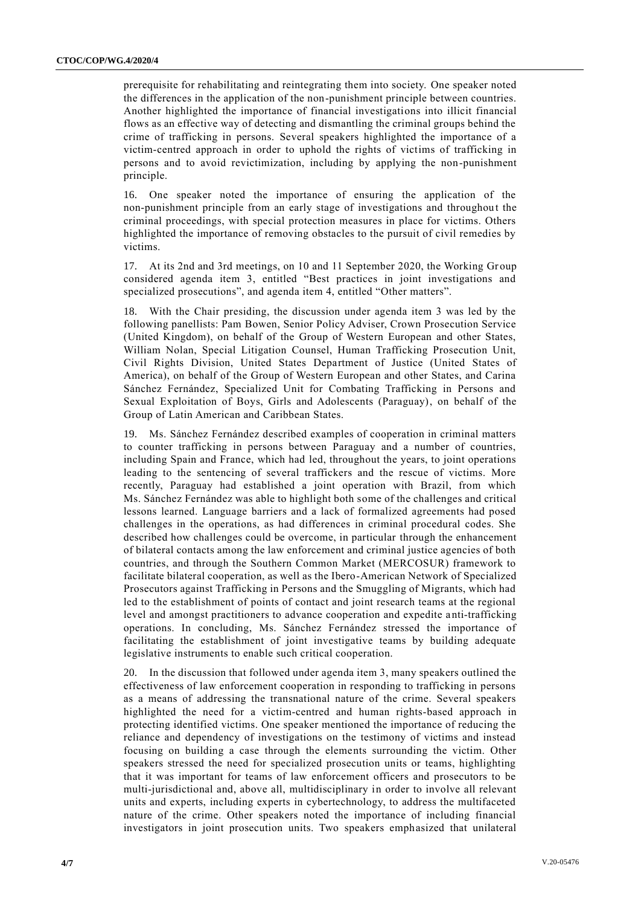prerequisite for rehabilitating and reintegrating them into society. One speaker noted the differences in the application of the non-punishment principle between countries. Another highlighted the importance of financial investigations into illicit financial flows as an effective way of detecting and dismantling the criminal groups behind the crime of trafficking in persons. Several speakers highlighted the importance of a victim-centred approach in order to uphold the rights of victims of trafficking in persons and to avoid revictimization, including by applying the non-punishment principle.

16. One speaker noted the importance of ensuring the application of the non-punishment principle from an early stage of investigations and throughout the criminal proceedings, with special protection measures in place for victims. Others highlighted the importance of removing obstacles to the pursuit of civil remedies by victims.

17. At its 2nd and 3rd meetings, on 10 and 11 September 2020, the Working Group considered agenda item 3, entitled "Best practices in joint investigations and specialized prosecutions", and agenda item 4, entitled "Other matters".

With the Chair presiding, the discussion under agenda item 3 was led by the following panellists: Pam Bowen, Senior Policy Adviser, Crown Prosecution Service (United Kingdom), on behalf of the Group of Western European and other States, William Nolan, Special Litigation Counsel, Human Trafficking Prosecution Unit, Civil Rights Division, United States Department of Justice (United States of America), on behalf of the Group of Western European and other States, and Carina Sánchez Fernández, Specialized Unit for Combating Trafficking in Persons and Sexual Exploitation of Boys, Girls and Adolescents (Paraguay), on behalf of the Group of Latin American and Caribbean States.

19. Ms. Sánchez Fernández described examples of cooperation in criminal matters to counter trafficking in persons between Paraguay and a number of countries, including Spain and France, which had led, throughout the years, to joint operations leading to the sentencing of several traffickers and the rescue of victims. More recently, Paraguay had established a joint operation with Brazil, from which Ms. Sánchez Fernández was able to highlight both some of the challenges and critical lessons learned. Language barriers and a lack of formalized agreements had posed challenges in the operations, as had differences in criminal procedural codes. She described how challenges could be overcome, in particular through the enhancement of bilateral contacts among the law enforcement and criminal justice agencies of both countries, and through the Southern Common Market (MERCOSUR) framework to facilitate bilateral cooperation, as well as the Ibero-American Network of Specialized Prosecutors against Trafficking in Persons and the Smuggling of Migrants, which had led to the establishment of points of contact and joint research teams at the regional level and amongst practitioners to advance cooperation and expedite anti-trafficking operations. In concluding, Ms. Sánchez Fernández stressed the importance of facilitating the establishment of joint investigative teams by building adequate legislative instruments to enable such critical cooperation.

20. In the discussion that followed under agenda item 3, many speakers outlined the effectiveness of law enforcement cooperation in responding to trafficking in persons as a means of addressing the transnational nature of the crime. Several speakers highlighted the need for a victim-centred and human rights-based approach in protecting identified victims. One speaker mentioned the importance of reducing the reliance and dependency of investigations on the testimony of victims and instead focusing on building a case through the elements surrounding the victim. Other speakers stressed the need for specialized prosecution units or teams, highlighting that it was important for teams of law enforcement officers and prosecutors to be multi-jurisdictional and, above all, multidisciplinary in order to involve all relevant units and experts, including experts in cybertechnology, to address the multifaceted nature of the crime. Other speakers noted the importance of including financial investigators in joint prosecution units. Two speakers emphasized that unilateral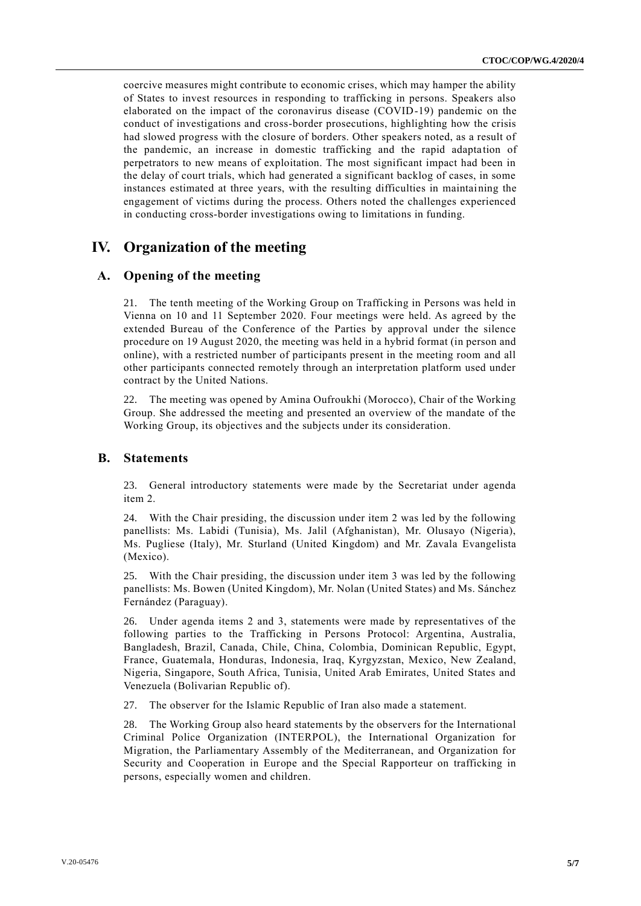coercive measures might contribute to economic crises, which may hamper the ability of States to invest resources in responding to trafficking in persons. Speakers also elaborated on the impact of the coronavirus disease (COVID-19) pandemic on the conduct of investigations and cross-border prosecutions, highlighting how the crisis had slowed progress with the closure of borders. Other speakers noted, as a result of the pandemic, an increase in domestic trafficking and the rapid adaptation of perpetrators to new means of exploitation. The most significant impact had been in the delay of court trials, which had generated a significant backlog of cases, in some instances estimated at three years, with the resulting difficulties in maintaining the engagement of victims during the process. Others noted the challenges experienced in conducting cross-border investigations owing to limitations in funding.

## **IV. Organization of the meeting**

### **A. Opening of the meeting**

21. The tenth meeting of the Working Group on Trafficking in Persons was held in Vienna on 10 and 11 September 2020. Four meetings were held. As agreed by the extended Bureau of the Conference of the Parties by approval under the silence procedure on 19 August 2020, the meeting was held in a hybrid format (in person and online), with a restricted number of participants present in the meeting room and all other participants connected remotely through an interpretation platform used under contract by the United Nations.

22. The meeting was opened by Amina Oufroukhi (Morocco), Chair of the Working Group. She addressed the meeting and presented an overview of the mandate of the Working Group, its objectives and the subjects under its consideration.

#### **B. Statements**

23. General introductory statements were made by the Secretariat under agenda item 2.

24. With the Chair presiding, the discussion under item 2 was led by the following panellists: Ms. Labidi (Tunisia), Ms. Jalil (Afghanistan), Mr. Olusayo (Nigeria), Ms. Pugliese (Italy), Mr. Sturland (United Kingdom) and Mr. Zavala Evangelista (Mexico).

25. With the Chair presiding, the discussion under item 3 was led by the following panellists: Ms. Bowen (United Kingdom), Mr. Nolan (United States) and Ms. Sánchez Fernández (Paraguay).

26. Under agenda items 2 and 3, statements were made by representatives of the following parties to the Trafficking in Persons Protocol: Argentina, Australia, Bangladesh, Brazil, Canada, Chile, China, Colombia, Dominican Republic, Egypt, France, Guatemala, Honduras, Indonesia, Iraq, Kyrgyzstan, Mexico, New Zealand, Nigeria, Singapore, South Africa, Tunisia, United Arab Emirates, United States and Venezuela (Bolivarian Republic of).

27. The observer for the Islamic Republic of Iran also made a statement.

28. The Working Group also heard statements by the observers for the International Criminal Police Organization (INTERPOL), the International Organization for Migration, the Parliamentary Assembly of the Mediterranean, and Organization for Security and Cooperation in Europe and the Special Rapporteur on trafficking in persons, especially women and children.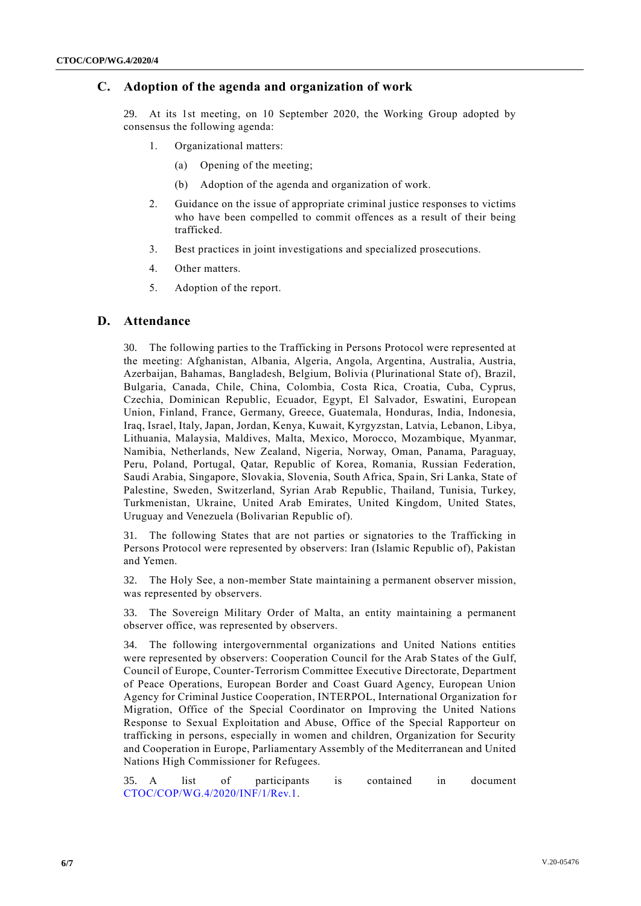### **C. Adoption of the agenda and organization of work**

29. At its 1st meeting, on 10 September 2020, the Working Group adopted by consensus the following agenda:

- 1. Organizational matters:
	- (a) Opening of the meeting;
	- (b) Adoption of the agenda and organization of work.
- 2. Guidance on the issue of appropriate criminal justice responses to victims who have been compelled to commit offences as a result of their being trafficked.
- 3. Best practices in joint investigations and specialized prosecutions.
- 4. Other matters.
- 5. Adoption of the report.

## **D. Attendance**

30. The following parties to the Trafficking in Persons Protocol were represented at the meeting: Afghanistan, Albania, Algeria, Angola, Argentina, Australia, Austria, Azerbaijan, Bahamas, Bangladesh, Belgium, Bolivia (Plurinational State of), Brazil, Bulgaria, Canada, Chile, China, Colombia, Costa Rica, Croatia, Cuba, Cyprus, Czechia, Dominican Republic, Ecuador, Egypt, El Salvador, Eswatini, European Union, Finland, France, Germany, Greece, Guatemala, Honduras, India, Indonesia, Iraq, Israel, Italy, Japan, Jordan, Kenya, Kuwait, Kyrgyzstan, Latvia, Lebanon, Libya, Lithuania, Malaysia, Maldives, Malta, Mexico, Morocco, Mozambique, Myanmar, Namibia, Netherlands, New Zealand, Nigeria, Norway, Oman, Panama, Paraguay, Peru, Poland, Portugal, Qatar, Republic of Korea, Romania, Russian Federation, Saudi Arabia, Singapore, Slovakia, Slovenia, South Africa, Spain, Sri Lanka, State of Palestine, Sweden, Switzerland, Syrian Arab Republic, Thailand, Tunisia, Turkey, Turkmenistan, Ukraine, United Arab Emirates, United Kingdom, United States, Uruguay and Venezuela (Bolivarian Republic of).

31. The following States that are not parties or signatories to the Trafficking in Persons Protocol were represented by observers: Iran (Islamic Republic of), Pakistan and Yemen.

32. The Holy See, a non-member State maintaining a permanent observer mission, was represented by observers.

33. The Sovereign Military Order of Malta, an entity maintaining a permanent observer office, was represented by observers.

34. The following intergovernmental organizations and United Nations entities were represented by observers: Cooperation Council for the Arab States of the Gulf, Council of Europe, Counter-Terrorism Committee Executive Directorate, Department of Peace Operations, European Border and Coast Guard Agency, European Union Agency for Criminal Justice Cooperation, INTERPOL, International Organization fo r Migration, Office of the Special Coordinator on Improving the United Nations Response to Sexual Exploitation and Abuse, Office of the Special Rapporteur on trafficking in persons, especially in women and children, Organization for Security and Cooperation in Europe, Parliamentary Assembly of the Mediterranean and United Nations High Commissioner for Refugees.

35. A list of participants is contained in document [CTOC/COP/WG.4/2020/INF/1/Rev.1.](http://undocs.org/CTOC/COP/WG.4/2020/INF/1/Rev.1)